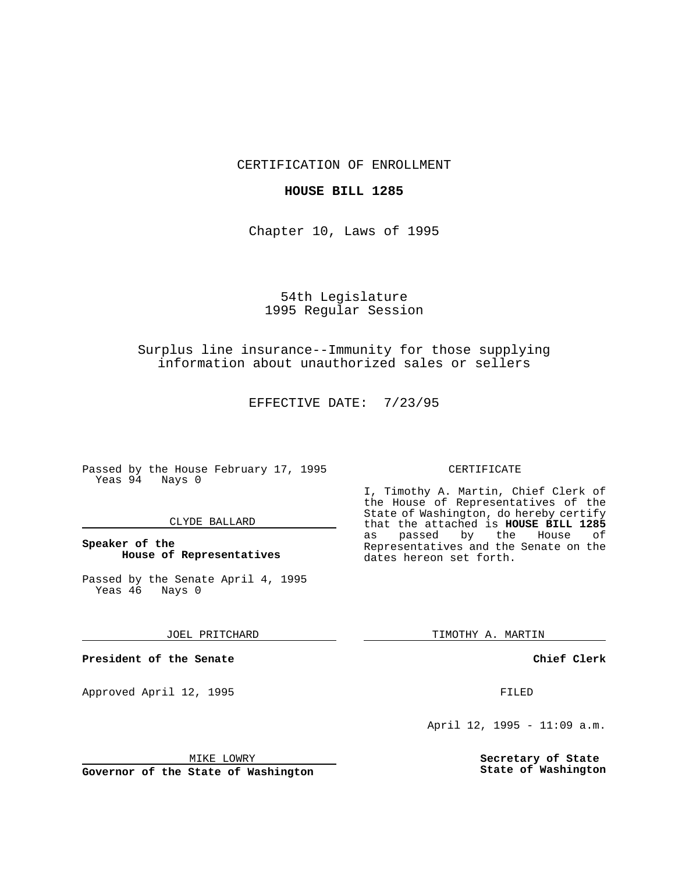CERTIFICATION OF ENROLLMENT

### **HOUSE BILL 1285**

Chapter 10, Laws of 1995

# 54th Legislature 1995 Regular Session

## Surplus line insurance--Immunity for those supplying information about unauthorized sales or sellers

EFFECTIVE DATE: 7/23/95

Passed by the House February 17, 1995 Yeas 94 Nays 0

#### CLYDE BALLARD

## **Speaker of the House of Representatives**

Passed by the Senate April 4, 1995 Yeas 46 Nays 0

#### JOEL PRITCHARD

**President of the Senate**

Approved April 12, 1995 FILED

# CERTIFICATE

I, Timothy A. Martin, Chief Clerk of the House of Representatives of the State of Washington, do hereby certify that the attached is **HOUSE BILL 1285** as passed by the Representatives and the Senate on the dates hereon set forth.

TIMOTHY A. MARTIN

#### **Chief Clerk**

April 12, 1995 - 11:09 a.m.

**Secretary of State State of Washington**

MIKE LOWRY

**Governor of the State of Washington**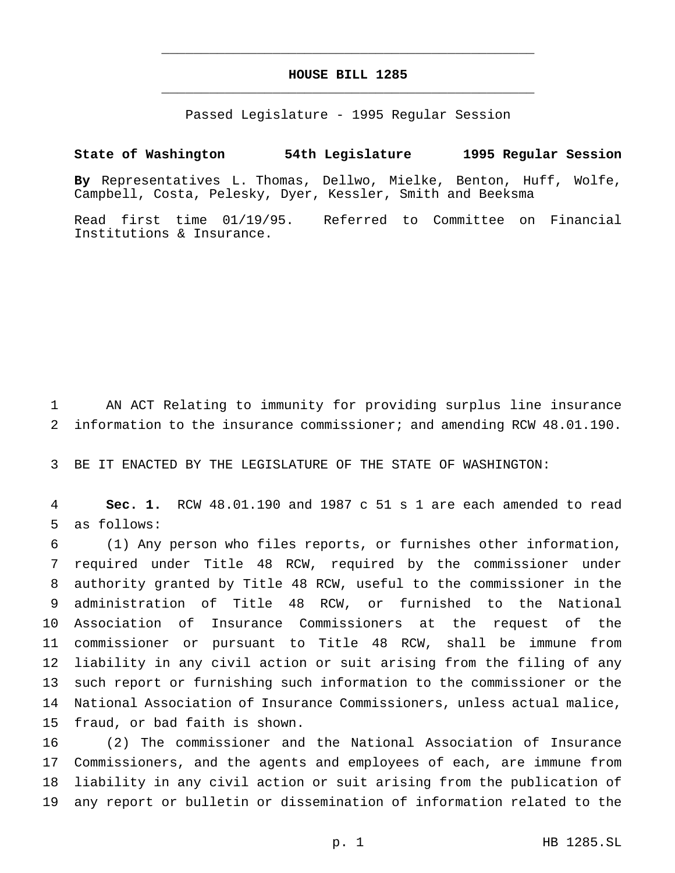## **HOUSE BILL 1285** \_\_\_\_\_\_\_\_\_\_\_\_\_\_\_\_\_\_\_\_\_\_\_\_\_\_\_\_\_\_\_\_\_\_\_\_\_\_\_\_\_\_\_\_\_\_\_

\_\_\_\_\_\_\_\_\_\_\_\_\_\_\_\_\_\_\_\_\_\_\_\_\_\_\_\_\_\_\_\_\_\_\_\_\_\_\_\_\_\_\_\_\_\_\_

Passed Legislature - 1995 Regular Session

## **State of Washington 54th Legislature 1995 Regular Session**

**By** Representatives L. Thomas, Dellwo, Mielke, Benton, Huff, Wolfe, Campbell, Costa, Pelesky, Dyer, Kessler, Smith and Beeksma

Read first time 01/19/95. Referred to Committee on Financial Institutions & Insurance.

 AN ACT Relating to immunity for providing surplus line insurance information to the insurance commissioner; and amending RCW 48.01.190.

BE IT ENACTED BY THE LEGISLATURE OF THE STATE OF WASHINGTON:

 **Sec. 1.** RCW 48.01.190 and 1987 c 51 s 1 are each amended to read as follows:

 (1) Any person who files reports, or furnishes other information, required under Title 48 RCW, required by the commissioner under authority granted by Title 48 RCW, useful to the commissioner in the administration of Title 48 RCW, or furnished to the National Association of Insurance Commissioners at the request of the commissioner or pursuant to Title 48 RCW, shall be immune from liability in any civil action or suit arising from the filing of any such report or furnishing such information to the commissioner or the National Association of Insurance Commissioners, unless actual malice, fraud, or bad faith is shown.

 (2) The commissioner and the National Association of Insurance Commissioners, and the agents and employees of each, are immune from liability in any civil action or suit arising from the publication of any report or bulletin or dissemination of information related to the